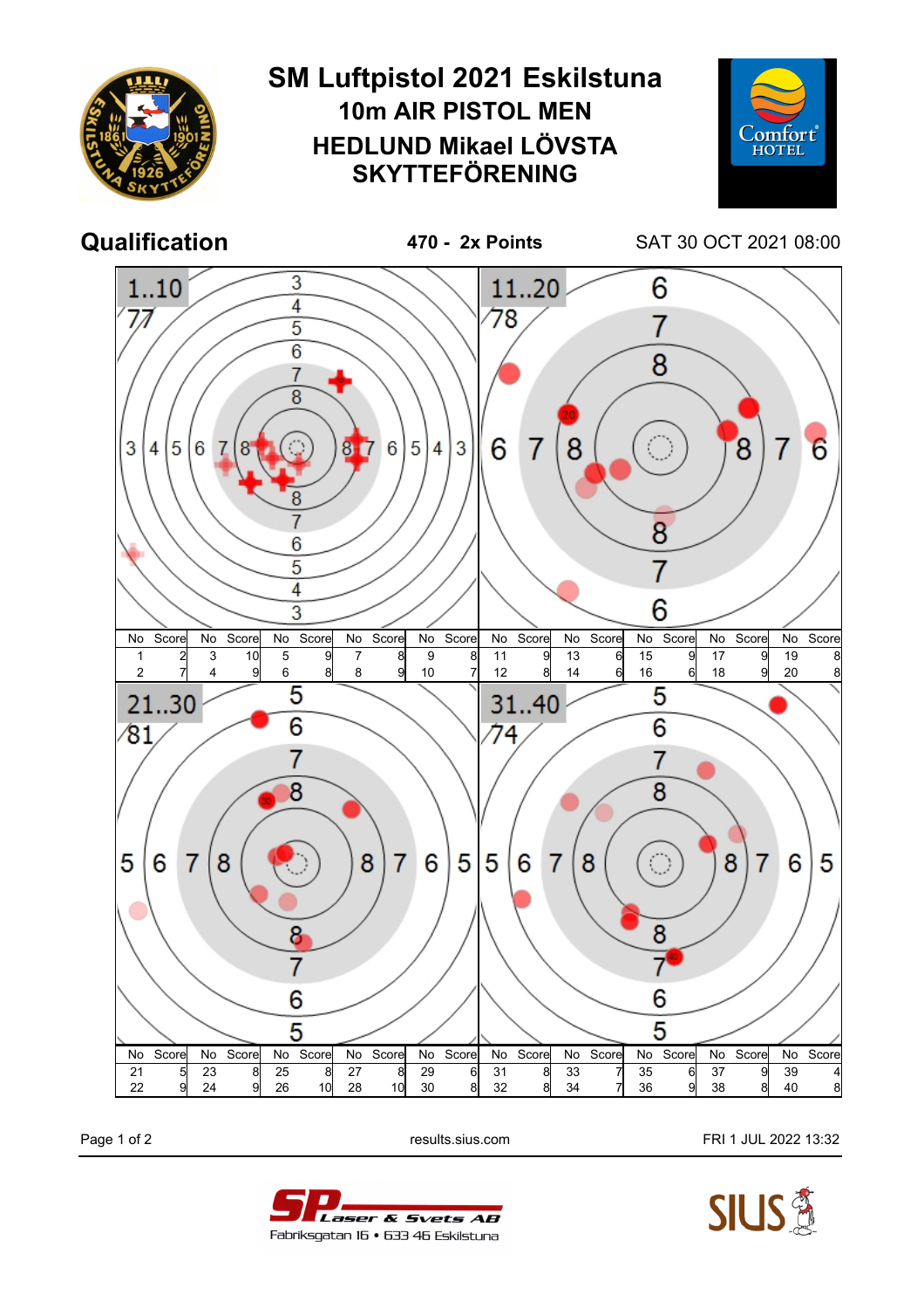

Page 1 of 2 **Page 1 of 2** results.sius.com **FRI 1 JUL 2022 13:32**